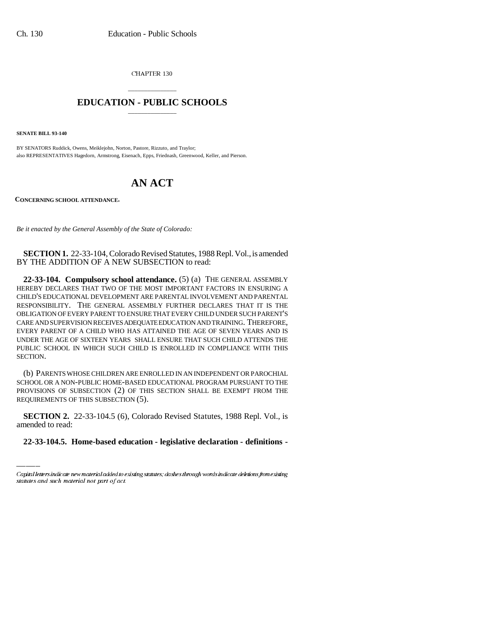CHAPTER 130

## \_\_\_\_\_\_\_\_\_\_\_\_\_\_\_ **EDUCATION - PUBLIC SCHOOLS** \_\_\_\_\_\_\_\_\_\_\_\_\_\_\_

**SENATE BILL 93-140**

BY SENATORS Ruddick, Owens, Meiklejohn, Norton, Pastore, Rizzuto, and Traylor; also REPRESENTATIVES Hagedorn, Armstrong, Eisenach, Epps, Friednash, Greenwood, Keller, and Pierson.

## **AN ACT**

**CONCERNING SCHOOL ATTENDANCE.**

*Be it enacted by the General Assembly of the State of Colorado:*

**SECTION 1.** 22-33-104, Colorado Revised Statutes, 1988 Repl. Vol., is amended BY THE ADDITION OF A NEW SUBSECTION to read:

**22-33-104. Compulsory school attendance.** (5) (a) THE GENERAL ASSEMBLY HEREBY DECLARES THAT TWO OF THE MOST IMPORTANT FACTORS IN ENSURING A CHILD'S EDUCATIONAL DEVELOPMENT ARE PARENTAL INVOLVEMENT AND PARENTAL RESPONSIBILITY. THE GENERAL ASSEMBLY FURTHER DECLARES THAT IT IS THE OBLIGATION OF EVERY PARENT TO ENSURE THAT EVERY CHILD UNDER SUCH PARENT'S CARE AND SUPERVISION RECEIVES ADEQUATE EDUCATION AND TRAINING. THEREFORE, EVERY PARENT OF A CHILD WHO HAS ATTAINED THE AGE OF SEVEN YEARS AND IS UNDER THE AGE OF SIXTEEN YEARS SHALL ENSURE THAT SUCH CHILD ATTENDS THE PUBLIC SCHOOL IN WHICH SUCH CHILD IS ENROLLED IN COMPLIANCE WITH THIS SECTION.

an Sala (b) PARENTS WHOSE CHILDREN ARE ENROLLED IN AN INDEPENDENT OR PAROCHIAL SCHOOL OR A NON-PUBLIC HOME-BASED EDUCATIONAL PROGRAM PURSUANT TO THE PROVISIONS OF SUBSECTION (2) OF THIS SECTION SHALL BE EXEMPT FROM THE REQUIREMENTS OF THIS SUBSECTION (5).

**SECTION 2.** 22-33-104.5 (6), Colorado Revised Statutes, 1988 Repl. Vol., is amended to read:

**22-33-104.5. Home-based education - legislative declaration - definitions -**

Capital letters indicate new material added to existing statutes; dashes through words indicate deletions from existing statutes and such material not part of act.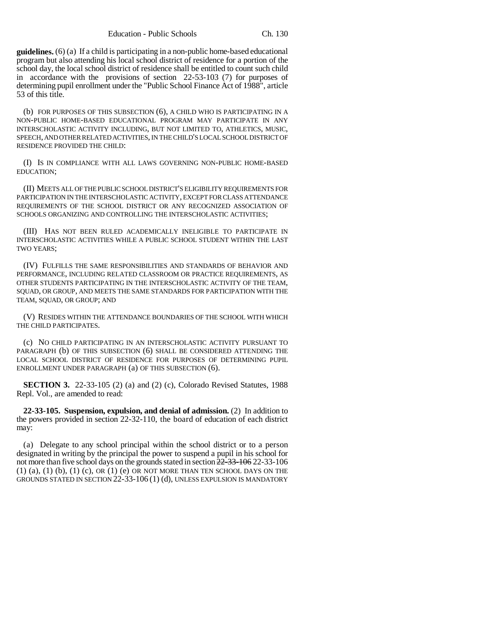**guidelines.** (6) (a) If a child is participating in a non-public home-based educational program but also attending his local school district of residence for a portion of the school day, the local school district of residence shall be entitled to count such child in accordance with the provisions of section 22-53-103 (7) for purposes of determining pupil enrollment under the "Public School Finance Act of 1988", article 53 of this title.

(b) FOR PURPOSES OF THIS SUBSECTION (6), A CHILD WHO IS PARTICIPATING IN A NON-PUBLIC HOME-BASED EDUCATIONAL PROGRAM MAY PARTICIPATE IN ANY INTERSCHOLASTIC ACTIVITY INCLUDING, BUT NOT LIMITED TO, ATHLETICS, MUSIC, SPEECH, AND OTHER RELATED ACTIVITIES, IN THE CHILD'S LOCAL SCHOOL DISTRICT OF RESIDENCE PROVIDED THE CHILD:

(I) IS IN COMPLIANCE WITH ALL LAWS GOVERNING NON-PUBLIC HOME-BASED EDUCATION;

(II) MEETS ALL OF THE PUBLIC SCHOOL DISTRICT'S ELIGIBILITY REQUIREMENTS FOR PARTICIPATION IN THE INTERSCHOLASTIC ACTIVITY, EXCEPT FOR CLASS ATTENDANCE REQUIREMENTS OF THE SCHOOL DISTRICT OR ANY RECOGNIZED ASSOCIATION OF SCHOOLS ORGANIZING AND CONTROLLING THE INTERSCHOLASTIC ACTIVITIES;

(III) HAS NOT BEEN RULED ACADEMICALLY INELIGIBLE TO PARTICIPATE IN INTERSCHOLASTIC ACTIVITIES WHILE A PUBLIC SCHOOL STUDENT WITHIN THE LAST TWO YEARS;

(IV) FULFILLS THE SAME RESPONSIBILITIES AND STANDARDS OF BEHAVIOR AND PERFORMANCE, INCLUDING RELATED CLASSROOM OR PRACTICE REQUIREMENTS, AS OTHER STUDENTS PARTICIPATING IN THE INTERSCHOLASTIC ACTIVITY OF THE TEAM, SQUAD, OR GROUP, AND MEETS THE SAME STANDARDS FOR PARTICIPATION WITH THE TEAM, SQUAD, OR GROUP; AND

(V) RESIDES WITHIN THE ATTENDANCE BOUNDARIES OF THE SCHOOL WITH WHICH THE CHILD PARTICIPATES.

(c) NO CHILD PARTICIPATING IN AN INTERSCHOLASTIC ACTIVITY PURSUANT TO PARAGRAPH (b) OF THIS SUBSECTION (6) SHALL BE CONSIDERED ATTENDING THE LOCAL SCHOOL DISTRICT OF RESIDENCE FOR PURPOSES OF DETERMINING PUPIL ENROLLMENT UNDER PARAGRAPH (a) OF THIS SUBSECTION (6).

**SECTION 3.** 22-33-105 (2) (a) and (2) (c), Colorado Revised Statutes, 1988 Repl. Vol., are amended to read:

**22-33-105. Suspension, expulsion, and denial of admission.** (2) In addition to the powers provided in section 22-32-110, the board of education of each district may:

(a) Delegate to any school principal within the school district or to a person designated in writing by the principal the power to suspend a pupil in his school for not more than five school days on the grounds stated in section  $\frac{22-33-106}{22-33-106}$  $(1)$   $(a)$ ,  $(1)$   $(b)$ ,  $(1)$   $(c)$ ,  $OR$   $(1)$   $(e)$   $OR$  NOT MORE THAN TEN SCHOOL DAYS ON THE GROUNDS STATED IN SECTION 22-33-106 (1) (d), UNLESS EXPULSION IS MANDATORY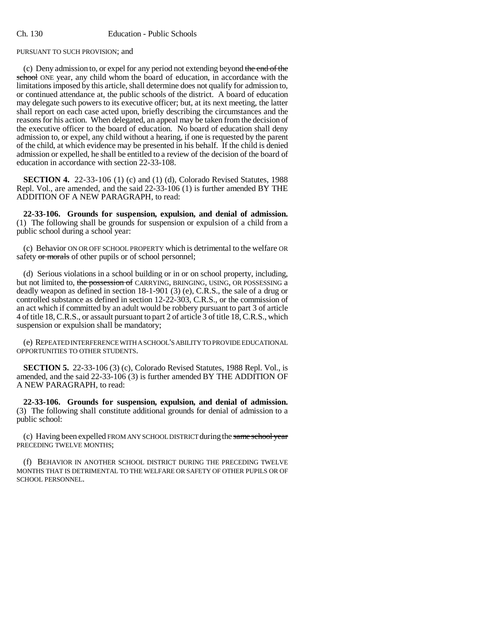PURSUANT TO SUCH PROVISION; and

(c) Deny admission to, or expel for any period not extending beyond the end of the school ONE year, any child whom the board of education, in accordance with the limitations imposed by this article, shall determine does not qualify for admission to, or continued attendance at, the public schools of the district. A board of education may delegate such powers to its executive officer; but, at its next meeting, the latter shall report on each case acted upon, briefly describing the circumstances and the reasons for his action. When delegated, an appeal may be taken from the decision of the executive officer to the board of education. No board of education shall deny admission to, or expel, any child without a hearing, if one is requested by the parent of the child, at which evidence may be presented in his behalf. If the child is denied admission or expelled, he shall be entitled to a review of the decision of the board of education in accordance with section 22-33-108.

**SECTION 4.** 22-33-106 (1) (c) and (1) (d), Colorado Revised Statutes, 1988 Repl. Vol., are amended, and the said 22-33-106 (1) is further amended BY THE ADDITION OF A NEW PARAGRAPH, to read:

**22-33-106. Grounds for suspension, expulsion, and denial of admission.** (1) The following shall be grounds for suspension or expulsion of a child from a public school during a school year:

(c) Behavior ON OR OFF SCHOOL PROPERTY which is detrimental to the welfare OR safety or morals of other pupils or of school personnel;

(d) Serious violations in a school building or in or on school property, including, but not limited to, the possession of CARRYING, BRINGING, USING, OR POSSESSING a deadly weapon as defined in section 18-1-901 (3) (e), C.R.S., the sale of a drug or controlled substance as defined in section 12-22-303, C.R.S., or the commission of an act which if committed by an adult would be robbery pursuant to part 3 of article 4 of title 18, C.R.S., or assault pursuant to part 2 of article 3 of title 18, C.R.S., which suspension or expulsion shall be mandatory;

(e) REPEATED INTERFERENCE WITH A SCHOOL'S ABILITY TO PROVIDE EDUCATIONAL OPPORTUNITIES TO OTHER STUDENTS.

**SECTION 5.** 22-33-106 (3) (c), Colorado Revised Statutes, 1988 Repl. Vol., is amended, and the said 22-33-106 (3) is further amended BY THE ADDITION OF A NEW PARAGRAPH, to read:

**22-33-106. Grounds for suspension, expulsion, and denial of admission.** (3) The following shall constitute additional grounds for denial of admission to a public school:

(c) Having been expelled FROM ANY SCHOOL DISTRICT during the same school year PRECEDING TWELVE MONTHS;

(f) BEHAVIOR IN ANOTHER SCHOOL DISTRICT DURING THE PRECEDING TWELVE MONTHS THAT IS DETRIMENTAL TO THE WELFARE OR SAFETY OF OTHER PUPILS OR OF SCHOOL PERSONNEL.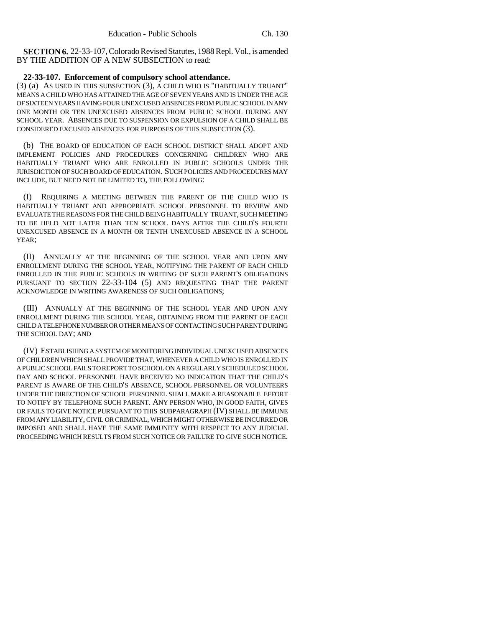**SECTION 6.** 22-33-107, Colorado Revised Statutes, 1988 Repl. Vol., is amended BY THE ADDITION OF A NEW SUBSECTION to read:

## **22-33-107. Enforcement of compulsory school attendance.**

(3) (a) AS USED IN THIS SUBSECTION (3), A CHILD WHO IS "HABITUALLY TRUANT" MEANS A CHILD WHO HAS ATTAINED THE AGE OF SEVEN YEARS AND IS UNDER THE AGE OF SIXTEEN YEARS HAVING FOUR UNEXCUSED ABSENCES FROM PUBLIC SCHOOL IN ANY ONE MONTH OR TEN UNEXCUSED ABSENCES FROM PUBLIC SCHOOL DURING ANY SCHOOL YEAR. ABSENCES DUE TO SUSPENSION OR EXPULSION OF A CHILD SHALL BE CONSIDERED EXCUSED ABSENCES FOR PURPOSES OF THIS SUBSECTION (3).

(b) THE BOARD OF EDUCATION OF EACH SCHOOL DISTRICT SHALL ADOPT AND IMPLEMENT POLICIES AND PROCEDURES CONCERNING CHILDREN WHO ARE HABITUALLY TRUANT WHO ARE ENROLLED IN PUBLIC SCHOOLS UNDER THE JURISDICTION OF SUCH BOARD OF EDUCATION. SUCH POLICIES AND PROCEDURES MAY INCLUDE, BUT NEED NOT BE LIMITED TO, THE FOLLOWING:

(I) REQUIRING A MEETING BETWEEN THE PARENT OF THE CHILD WHO IS HABITUALLY TRUANT AND APPROPRIATE SCHOOL PERSONNEL TO REVIEW AND EVALUATE THE REASONS FOR THE CHILD BEING HABITUALLY TRUANT, SUCH MEETING TO BE HELD NOT LATER THAN TEN SCHOOL DAYS AFTER THE CHILD'S FOURTH UNEXCUSED ABSENCE IN A MONTH OR TENTH UNEXCUSED ABSENCE IN A SCHOOL YEAR;

(II) ANNUALLY AT THE BEGINNING OF THE SCHOOL YEAR AND UPON ANY ENROLLMENT DURING THE SCHOOL YEAR, NOTIFYING THE PARENT OF EACH CHILD ENROLLED IN THE PUBLIC SCHOOLS IN WRITING OF SUCH PARENT'S OBLIGATIONS PURSUANT TO SECTION 22-33-104 (5) AND REQUESTING THAT THE PARENT ACKNOWLEDGE IN WRITING AWARENESS OF SUCH OBLIGATIONS;

(III) ANNUALLY AT THE BEGINNING OF THE SCHOOL YEAR AND UPON ANY ENROLLMENT DURING THE SCHOOL YEAR, OBTAINING FROM THE PARENT OF EACH CHILD A TELEPHONE NUMBER OR OTHER MEANS OF CONTACTING SUCH PARENT DURING THE SCHOOL DAY; AND

(IV) ESTABLISHING A SYSTEM OF MONITORING INDIVIDUAL UNEXCUSED ABSENCES OF CHILDREN WHICH SHALL PROVIDE THAT, WHENEVER A CHILD WHO IS ENROLLED IN A PUBLIC SCHOOL FAILS TO REPORT TO SCHOOL ON A REGULARLY SCHEDULED SCHOOL DAY AND SCHOOL PERSONNEL HAVE RECEIVED NO INDICATION THAT THE CHILD'S PARENT IS AWARE OF THE CHILD'S ABSENCE, SCHOOL PERSONNEL OR VOLUNTEERS UNDER THE DIRECTION OF SCHOOL PERSONNEL SHALL MAKE A REASONABLE EFFORT TO NOTIFY BY TELEPHONE SUCH PARENT. ANY PERSON WHO, IN GOOD FAITH, GIVES OR FAILS TO GIVE NOTICE PURSUANT TO THIS SUBPARAGRAPH (IV) SHALL BE IMMUNE FROM ANY LIABILITY, CIVIL OR CRIMINAL, WHICH MIGHT OTHERWISE BE INCURRED OR IMPOSED AND SHALL HAVE THE SAME IMMUNITY WITH RESPECT TO ANY JUDICIAL PROCEEDING WHICH RESULTS FROM SUCH NOTICE OR FAILURE TO GIVE SUCH NOTICE.